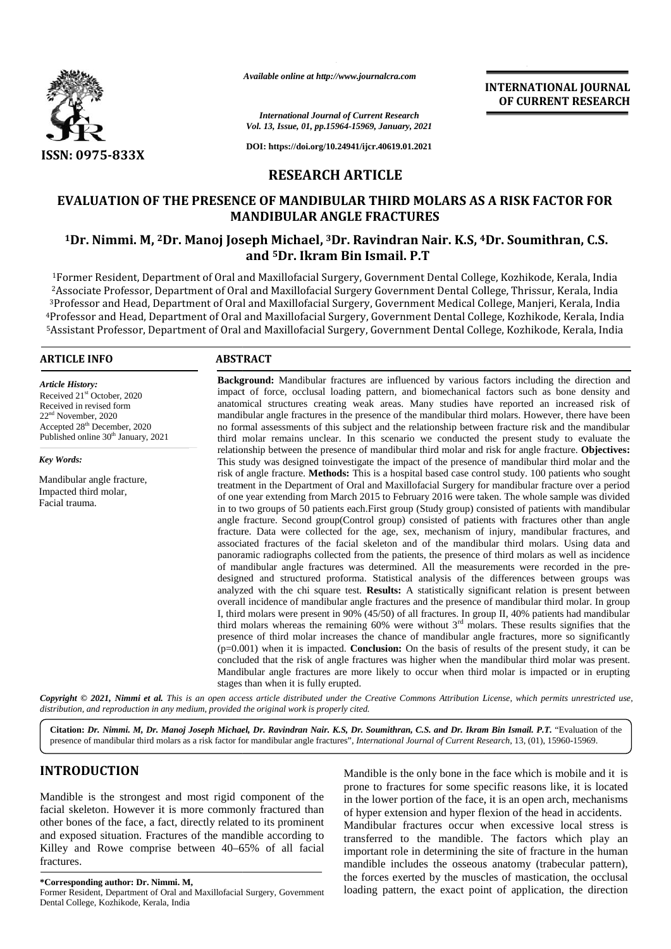

*Available online at http://www.journalcra.com*

#### *International Journal of Current Research Vol. 13, Issue, 01, pp.15964-15969, January, 2021*

**DOI: https://doi.org/10.24941/ijcr.40619.01.2021**

# **RESEARCH ARTICLE**

# **EVALUATION OF THE PRESENCE OF MANDIBULAR THIRD MOLARS AS A RISK FACTOR FOR FORMANDIBULAR ANGLE FRACTURES**

# **<sup>1</sup>Dr. Nimmi. M, <sup>2</sup>Dr. Manoj Joseph Michael, <sup>3</sup>Dr. Ravindran Nair. K.S, <sup>4</sup>Dr. Soumithran, C.S. 1Joseph Michael,and <sup>5</sup>Dr. Ikram Bin Ismail. P.T 5Dr.**

Former Resident, Department of Oral and Maxillofacial Surgery, Government Dental College, Kozhikode, Kerala, India <sup>1</sup>of Associate Professor, Department of Oral and Maxillofacial Surgery Government Dental College, Thrissur, Kerala, India 2Associate Professor, Department of Oral and Maxillofacial Surgery Government Dental College, Thrissur, Kerala, India<br>3Professor and Head, Department of Oral and Maxillofacial Surgery, Government Medical College, Manjeri, Professor and Head, Department of Oral and Maxillofacial Surgery, Government Dental College, Kozhikode, Kerala, India and Assistant Professor, Department of Oral and Maxillofacial Surgery, Government Dental College, Kozhikode, Kerala, India Surgery,College,

#### **ARTICLE INFO ABSTRACT ARTICLE ABSTRACT**

*Article History:* Received 21<sup>st</sup> October, 2020 Received in revised form Received in revised form<br>22<sup>nd</sup> November, 2020 Accepted 28<sup>th</sup> December, 2020 Published online 30<sup>th</sup> January, 2021

*Key Words:*

Mandibular angle fracture, Impacted third molar, Facial trauma.

# impact of force, occlusal loading pattern, and biomechanical factors such as bone density and anatomical structures creating weak areas. Many studies have reported an increased risk of mandibular angle fractures in the presence of the mandibular third molars. However, there have been no formal assessments of this subject and the relationship between fracture risk and the mandibular third molar remains unclear. In this scenario we conducted the present study to evaluate the relationship between the presence of mandibular third molar and risk for angle fracture. **Objectives:** This study was designed toinvestigate the impact of the presence of mandibular third molar and the risk of angle fracture. **Methods:** This is a hospital based case control study. 100 patients who sought treatment in the Department of Oral and Maxillofacial Surgery for mandibular fracture over a period of one year extending from March 2015 to February 2016 were taken. The whole sample was divided in to two groups of 50 patients each.First group (Study group) consisted of patients with mandibular angle fracture. Second group(Control group) consisted of patients with fractures other than angle fracture. Data were collected for the age, sex, mechanism of injury, mandibular fractures, and associated fractures of the facial skeleton and of the mandibular third molars. Using data and panoramic radiographs collected from the patients, the presence of third molars as well as incidence of mandibular angle fractures was determined. All the measurements were recorded in the pre designed and structured proforma. Statistical analysis of the differences between groups was analyzed with the chi square test. **Results:** A statistically significant relation is present between overall incidence of mandibular angle fractures and the presence of mandibular third molar. In group I, third molars were present in 90% (45/50) of all fractures. In group II, 40% patients had mandibular third molars whereas the remaining 60% were without  $3<sup>rd</sup>$  molars. These results signifies that the presence of third molar increases the chance of mandibular angle fractures, more so significantly (p=0.001) when it is impacted. **Conclusion:** On the basis of results of the present study, it can be concluded that the risk of angle fractures was higher when the mandibular third molar was present. concluded that the risk of angle fractures was higher when the mandibular third molar was present.<br>Mandibular angle fractures are more likely to occur when third molar is impacted or in erupting stages than when it is fully erupted. **Background:** Mandibular fractures are influenced by various factors including the direction and<br>impact of force, occlusal loading pattern, and biomechanical factors such as bone density and<br>anatomical structures creating **Former Oral Dental the anisotropic Company and COMBAT COMBAT AND COMBAT AND COMBAT AND COMBAT AND COMBAT AND CONFIDENTIES CONTINUES TO A SURVEY AND CONFIDENTIES CONTINUES TO A SURVEY AND THE PERSENCE OF MANDIBULAR ATHER** Analogie and *Line Magnitrica Citation:*<br>Joseph Dr. 2001<br>**Citation:**<br>Joseph Dr. 2001<br>**Citation:**<br>Joseph Dr. 2001<br>**Citation:**<br>Joseph Dr. 2001<br>**RESEARCH ARTICLE**<br>FRANCH ARTICLE<br>FRANCH ARTICLE EVALUATION OF THE PRESENCE OF MA Fractional Journal of the Mathemational Journal of the 13, Issee, 01, pp.15<br>
5-833X DOI: https://doi.org/10<br>
RESEARCI<br>
ATION OF THE PRESENCE OF MANDIBU<br>
MANDIBULAR AN<br>
immi. M, <sup>2</sup>Dr. Manoj Joseph Michael, <sup>31</sup><br>
and <sup>5</sup>Dr

**Background:** Mandibular fractures are influenced by various factors including the direction and

**INTERNATIONAL JOURNAL OF CURRENT RESEARCH**

Copyright © 2021, Nimmi et al. This is an open access article distributed under the Creative Commons Attribution License, which permits unrestricted use, *distribution, and reproduction in any medium, provided the original work is properly cited. distribution,any*

**Citation:** *Dr. Nimmi. M, Dr. Manoj Joseph Michael, Dr. Ravindran Nair. K.S, Dr. Soumithran, C.S. and Dr. Ikram Bin Ismail. P.T.* "Evaluation of the presence of mandibular third molars as a risk factor for mandibular angle fractures", *International Journal of Current Research*, 13, (01), 15960-15969.

# **INTRODUCTION INTRODUCTION**

Mandible is the strongest and most rigid component of the facial skeleton. However it is more commonly fractured than other bones of the face, a fact, directly related to its prominent and exposed situation. Fractures of the mandible according to Killey and Rowe comprise between 40–65% of all facial fractures. Mandible is the strongest and most rigid component of the facial skeleton. However it is more commonly fractured than other bones of the face, a fact, directly related to its prominent and exposed situation. Fractures of t

**\*Corresponding author: Dr. Nimmi. M, \*Corresponding** Former Resident, Department of Oral and Maxillofacial Surgery, Government Dental College, Kozhikode, Kerala, India

Mandible is the only bone in the face which is mobile and it is prone to fractures for some specific reasons like, it is located in the lower portion of the face, it is an open arch, mechanisms of hyper extension and hyper flexion of the head in accidents. Mandibular fractures occur when excessive local stress is transferred to the mandible. The factors which play an important role in determining the site of fracture in the human mandible includes the osseous anatomy (trabecular pattern), the forces exerted by the muscles of mastication, the occlusal loading pattern, the exact point of application, the direction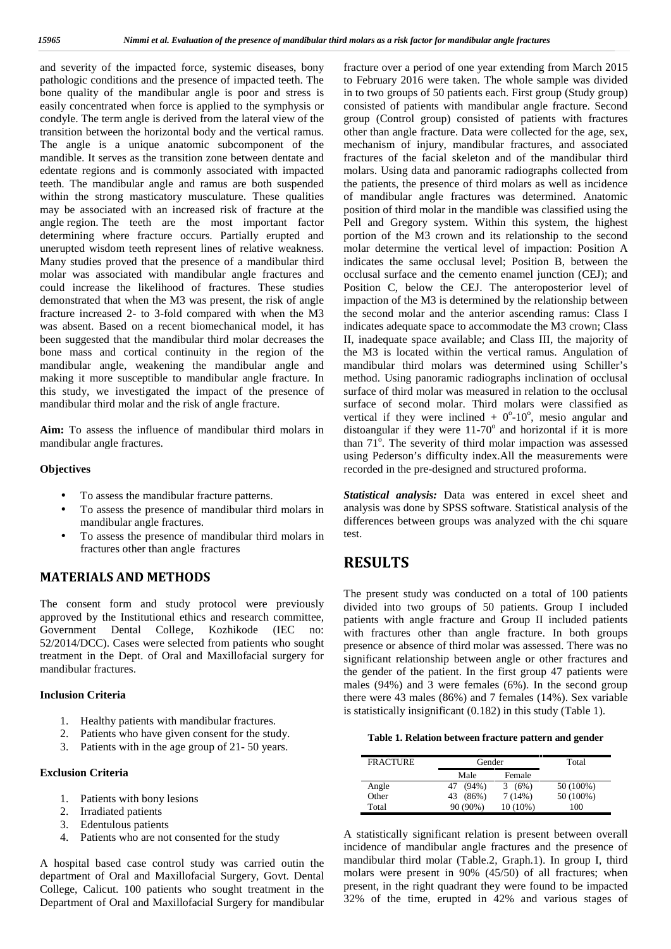and severity of the impacted force, systemic diseases, bony pathologic conditions and the presence of impacted teeth. The bone quality of the mandibular angle is poor and stress is easily concentrated when force is applied to the symphysis or condyle. The term angle is derived from the lateral view of the transition between the horizontal body and the vertical ramus. The angle is a unique anatomic subcomponent of the mandible. It serves as the transition zone between dentate and edentate regions and is commonly associated with impacted teeth. The mandibular angle and ramus are both suspended within the strong masticatory musculature. These qualities may be associated with an increased risk of fracture at the angle region. The teeth are the most important factor determining where fracture occurs. Partially erupted and unerupted wisdom teeth represent lines of relative weakness. Many studies proved that the presence of a mandibular third molar was associated with mandibular angle fractures and could increase the likelihood of fractures. These studies demonstrated that when the M3 was present, the risk of angle fracture increased 2- to 3-fold compared with when the M3 was absent. Based on a recent biomechanical model, it has been suggested that the mandibular third molar decreases the bone mass and cortical continuity in the region of the mandibular angle, weakening the mandibular angle and making it more susceptible to mandibular angle fracture. In this study, we investigated the impact of the presence of mandibular third molar and the risk of angle fracture.

**Aim:** To assess the influence of mandibular third molars in mandibular angle fractures.

#### **Objectives**

- To assess the mandibular fracture patterns.
- To assess the presence of mandibular third molars in mandibular angle fractures.
- To assess the presence of mandibular third molars in fractures other than angle fractures

### **MATERIALS AND METHODS**

The consent form and study protocol were previously approved by the Institutional ethics and research committee, Government Dental College, Kozhikode (IEC no: 52/2014/DCC). Cases were selected from patients who sought treatment in the Dept. of Oral and Maxillofacial surgery for mandibular fractures.

#### **Inclusion Criteria**

- 1. Healthy patients with mandibular fractures.
- 2. Patients who have given consent for the study.
- 3. Patients with in the age group of 21- 50 years.

#### **Exclusion Criteria**

- 1. Patients with bony lesions
- 2. Irradiated patients
- 3. Edentulous patients
- 4. Patients who are not consented for the study

A hospital based case control study was carried outin the department of Oral and Maxillofacial Surgery, Govt. Dental College, Calicut. 100 patients who sought treatment in the Department of Oral and Maxillofacial Surgery for mandibular

fracture over a period of one year extending from March 2015 to February 2016 were taken. The whole sample was divided in to two groups of 50 patients each. First group (Study group) consisted of patients with mandibular angle fracture. Second group (Control group) consisted of patients with fractures other than angle fracture. Data were collected for the age, sex, mechanism of injury, mandibular fractures, and associated fractures of the facial skeleton and of the mandibular third molars. Using data and panoramic radiographs collected from the patients, the presence of third molars as well as incidence of mandibular angle fractures was determined. Anatomic position of third molar in the mandible was classified using the Pell and Gregory system. Within this system, the highest portion of the M3 crown and its relationship to the second molar determine the vertical level of impaction: Position A indicates the same occlusal level; Position B, between the occlusal surface and the cemento enamel junction (CEJ); and Position C, below the CEJ. The anteroposterior level of impaction of the M3 is determined by the relationship between the second molar and the anterior ascending ramus: Class I indicates adequate space to accommodate the M3 crown; Class II, inadequate space available; and Class III, the majority of the M3 is located within the vertical ramus. Angulation of mandibular third molars was determined using Schiller's method. Using panoramic radiographs inclination of occlusal surface of third molar was measured in relation to the occlusal surface of second molar. Third molars were classified as vertical if they were inclined  $+ 0^{\circ}$ -10<sup>°</sup>, mesio angular and distoangular if they were  $11-70^\circ$  and horizontal if it is more than 71<sup>o</sup>. The severity of third molar impaction was assessed using Pederson's difficulty index.All the measurements were recorded in the pre-designed and structured proforma.

*Statistical analysis:* Data was entered in excel sheet and analysis was done by SPSS software. Statistical analysis of the differences between groups was analyzed with the chi square test.

# **RESULTS**

The present study was conducted on a total of 100 patients divided into two groups of 50 patients. Group I included patients with angle fracture and Group II included patients with fractures other than angle fracture. In both groups presence or absence of third molar was assessed. There was no significant relationship between angle or other fractures and the gender of the patient. In the first group 47 patients were males (94%) and  $\overline{3}$  were females (6%). In the second group there were 43 males (86%) and 7 females (14%). Sex variable is statistically insignificant (0.182) in this study (Table 1).

**Table 1. Relation between fracture pattern and gender**

| <b>FRACTURE</b> | Gender         |           | Total     |
|-----------------|----------------|-----------|-----------|
|                 | Male           | Female    |           |
| Angle           | $(94\%)$<br>47 | (6%)<br>3 | 50 (100%) |
| Other           | $(86\%)$<br>43 | 7(14%)    | 50 (100%) |
| Total           | 90 (90%)       | 10 (10%)  | 100       |

A statistically significant relation is present between overall incidence of mandibular angle fractures and the presence of mandibular third molar (Table.2, Graph.1). In group I, third molars were present in 90% (45/50) of all fractures; when present, in the right quadrant they were found to be impacted 32% of the time, erupted in 42% and various stages of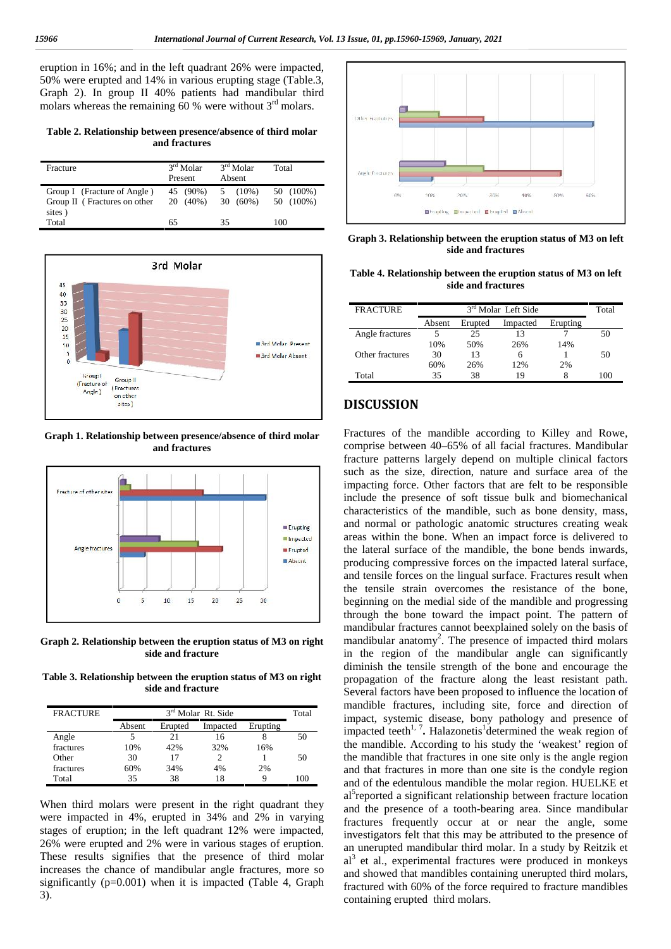eruption in 16%; and in the left quadrant 26% were impacted, 50% were erupted and 14% in various erupting stage (Table.3, Graph 2). In group II 40% patients had mandibular third molars whereas the remaining  $60%$  were without  $3<sup>rd</sup>$  molars.

**Table 2. Relationship between presence/absence of third molar and fractures**

| Fracture                     | $3rd$ Molar<br>Present | $3rd$ Molar<br>Absent | Total     |  |
|------------------------------|------------------------|-----------------------|-----------|--|
| Group I (Fracture of Angle)  | 45 (90%)               | $(10\%)$<br>5         | 50 (100%) |  |
| Group II (Fractures on other | 20 (40%)               | $30(60\%)$            | 50 (100%) |  |
| sites)                       |                        |                       |           |  |
| Total                        | 65                     | 35                    | 100       |  |



**Graph 1. Relationship between presence/absence of third molar and fractures**



**Graph 2. Relationship between the eruption status of M3 on right side and fracture**

**Table 3. Relationship between the eruption status of M3 on right side and fracture**

| <b>FRACTURE</b> |        | $3rd$ Molar Rt. Side |          |          |     |
|-----------------|--------|----------------------|----------|----------|-----|
|                 | Absent | Erupted              | Impacted | Erupting |     |
| Angle           |        | 21                   | 16       |          | 50  |
| fractures       | 10%    | 42%                  | 32%      | 16%      |     |
| Other           | 30     | 17                   |          |          | 50  |
| fractures       | 60%    | 34%                  | 4%       | 2%       |     |
| Total           | 35     | 38                   | 18       |          | 100 |

When third molars were present in the right quadrant they were impacted in 4%, erupted in 34% and 2% in varying stages of eruption; in the left quadrant 12% were impacted, 26% were erupted and 2% were in various stages of eruption. These results signifies that the presence of third molar increases the chance of mandibular angle fractures, more so significantly  $(p=0.001)$  when it is impacted (Table 4, Graph 3).



**Graph 3. Relationship between the eruption status of M3 on left side and fractures**

**Table 4. Relationship between the eruption status of M3 on left side and fractures**

| <b>FRACTURE</b> | 3 <sup>rd</sup> Molar Left Side |         |          |          | Total |
|-----------------|---------------------------------|---------|----------|----------|-------|
|                 | Absent                          | Erupted | Impacted | Erupting |       |
| Angle fractures |                                 | 25      | 13       |          | 50    |
|                 | 10%                             | 50%     | 26%      | 14%      |       |
| Other fractures | 30                              | 13      | 6        |          | 50    |
|                 | 60%                             | 26%     | 12%      | 2%       |       |
| Total           | 35                              | 38      | 19       |          | 100   |

#### **DISCUSSION**

Fractures of the mandible according to Killey and Rowe, comprise between 40–65% of all facial fractures. Mandibular fracture patterns largely depend on multiple clinical factors such as the size, direction, nature and surface area of the impacting force. Other factors that are felt to be responsible include the presence of soft tissue bulk and biomechanical characteristics of the mandible, such as bone density, mass, and normal or pathologic anatomic structures creating weak areas within the bone. When an impact force is delivered to the lateral surface of the mandible, the bone bends inwards, producing compressive forces on the impacted lateral surface, and tensile forces on the lingual surface. Fractures result when the tensile strain overcomes the resistance of the bone, beginning on the medial side of the mandible and progressing through the bone toward the impact point. The pattern of mandibular fractures cannot beexplained solely on the basis of mandibular anatomy<sup>2</sup>. The presence of impacted third molars in the region of the mandibular angle can significantly diminish the tensile strength of the bone and encourage the propagation of the fracture along the least resistant path. Several factors have been proposed to influence the location of mandible fractures, including site, force and direction of impact, systemic disease, bony pathology and presence of impacted teeth<sup>1, 7</sup>. Halazonetis<sup>1</sup> determined the weak region of the mandible. According to his study the 'weakest' region of the mandible that fractures in one site only is the angle region and that fractures in more than one site is the condyle region and of the edentulous mandible the molar region. HUELKE et al<sup>3</sup>reported a significant relationship between fracture location and the presence of a tooth-bearing area. Since mandibular fractures frequently occur at or near the angle, some investigators felt that this may be attributed to the presence of an unerupted mandibular third molar. In a study by Reitzik et  $al<sup>3</sup>$  et al., experimental fractures were produced in monkeys and showed that mandibles containing unerupted third molars, fractured with 60% of the force required to fracture mandibles containing erupted third molars.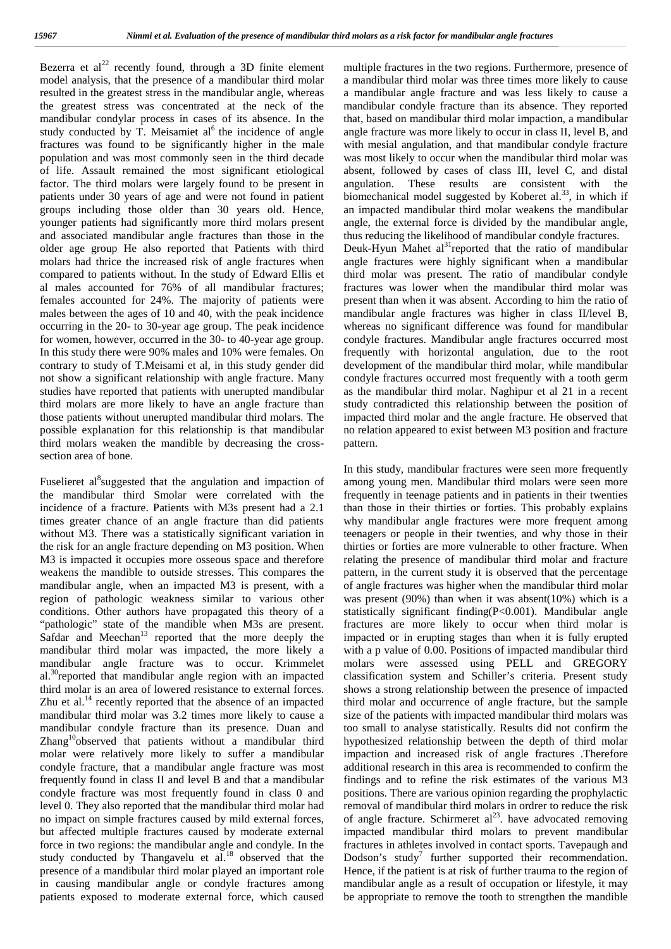Bezerra et  $al^{22}$  recently found, through a 3D finite element model analysis, that the presence of a mandibular third molar resulted in the greatest stress in the mandibular angle, whereas the greatest stress was concentrated at the neck of the mandibular condylar process in cases of its absence. In the study conducted by T. Meisamiet al<sup>6</sup> the incidence of angle ang fractures was found to be significantly higher in the male population and was most commonly seen in the third decade of life. Assault remained the most significant etiological factor. The third molars were largely found to be present in patients under 30 years of age and were not found in patient groups including those older than 30 years old. Hence, younger patients had significantly more third molars present and associated mandibular angle fractures than those in the older age group He also reported that Patients with third molars had thrice the increased risk of angle fractures when compared to patients without. In the study of Edward Ellis et al males accounted for 76% of all mandibular fractures; females accounted for 24%. The majority of patients were males between the ages of 10 and 40, with the peak incidence occurring in the 20- to 30-year age group. The peak incidence for women, however, occurred in the 30- to 40-year age group. In this study there were 90% males and 10% were females. On contrary to study of T.Meisami et al, in this study gender did not show a significant relationship with angle fracture. Many studies have reported that patients with unerupted mandibular third molars are more likely to have an angle fracture than those patients without unerupted mandibular third molars. The possible explanation for this relationship is that mandibular third molars weaken the mandible by decreasing the cross section area of bone.

Fuselieret al<sup>8</sup>suggested that the angulation and impaction of the mandibular third Smolar were correlated with the incidence of a fracture. Patients with M3s present had a 2.1 times greater chance of an angle fracture than did patients without M3. There was a statistically significant variation in the risk for an angle fracture depending on M3 position. When M3 is impacted it occupies more osseous space and therefore weakens the mandible to outside stresses. This compares the mandibular angle, when an impacted M3 is present, with a region of pathologic weakness similar to various other conditions. Other authors have propagated this theory of a "pathologic" state of the mandible when M3s are present. Safdar and Meechan<sup>13</sup> reported that the more deeply the mandibular third molar was impacted, the more likely a mandibular angle fracture was to occur. Krimmelet al. $30$ <sup>o</sup>reported that mandibular angle region with an impacted third molar is an area of lowered resistance to external forces. Zhu et al.<sup>14</sup> recently reported that the absence of an impacted mandibular third molar was 3.2 times more likely to cause a mandibular condyle fracture than its presence. Duan and Zhang<sup>10</sup>observed that patients without a mandibular third molar were relatively more likely to suffer a mandibular condyle fracture, that a mandibular angle fracture was most frequently found in class II and level B and that a mandibular condyle fracture was most frequently found in class 0 and level 0. They also reported that the mandibular third molar had no impact on simple fractures caused by mild external forces, but affected multiple fractures caused by moderate external force in two regions: the mandibular angle and condyle. In the study conducted by Thangavelu et  $aL^{18}$  observed that the presence of a mandibular third molar played an important role in causing mandibular angle or condyle fractures among patients exposed to moderate external force, which caused

multiple fractures in the two regions. Furthermore, presence of a mandibular third molar was three times more likely to cause a mandibular angle fracture and was less likely to cause a mandibular condyle fracture than its absence. They reported that, based on mandibular third molar impaction, a mandibular angle fracture was more likely to occur in class II, level B, and with mesial angulation, and that mandibular condyle fracture was most likely to occur when the mandibular third molar was absent, followed by cases of class III, level C, and distal angulation. These results are consistent with the biomechanical model suggested by Koberet al.<sup>33</sup>, in which if an impacted mandibular third molar weakens the mandibular angle, the external force is divided by the mandibular angle, thus reducing the likelihood of mandibular condyle fractures. Deuk-Hyun Mahet  $al<sup>31</sup>$ reported that the ratio of mandibular angle fractures were highly significant when a mandibular third molar was present. The ratio of mandibular condyle fractures was lower when the mandibular third molar was present than when it was absent. According to him the ratio of mandibular angle fractures was higher in class II/level B, whereas no significant difference was found for mandibular condyle fractures. Mandibular angle fractures occurred most frequently with horizontal angulation, due to the root development of the mandibular third molar, while mandibular condyle fractures occurred most frequently with a tooth germ as the mandibular third molar. Naghipur et al 21 in a recent study contradicted this relationship between the position of impacted third molar and the angle fracture. He observed that no relation appeared to exist between M3 position and fracture pattern.

In this study, mandibular fractures were seen more frequently among young men. Mandibular third molars were seen more frequently in teenage patients and in patients in their twenties than those in their thirties or forties. This probably explains why mandibular angle fractures were more frequent among teenagers or people in their twenties, and why those in their thirties or forties are more vulnerable to other fracture. When relating the presence of mandibular third molar and fracture pattern, in the current study it is observed that the percentage of angle fractures was higher when the mandibular third molar was present (90%) than when it was absent(10%) which is a statistically significant finding(P<0.001). Mandibular angle fractures are more likely to occur when third molar is impacted or in erupting stages than when it is fully erupted with a p value of 0.00. Positions of impacted mandibular third molars were assessed using PELL and GREGORY classification system and Schiller's criteria. Present study shows a strong relationship between the presence of impacted third molar and occurrence of angle fracture, but the sample size of the patients with impacted mandibular third molars was too small to analyse statistically. Results did not confirm the hypothesized relationship between the depth of third molar impaction and increased risk of angle fractures .Therefore additional research in this area is recommended to confirm the findings and to refine the risk estimates of the various M3 positions. There are various opinion regarding the prophylactic removal of mandibular third molars in ordrer to reduce the risk of angle fracture. Schirmeret  $al^{23}$ . have advocated removing impacted mandibular third molars to prevent mandibular fractures in athletes involved in contact sports. Tavepaugh and Dodson's study<sup>7</sup> further supported their recommendation. Hence, if the patient is at risk of further trauma to the region of mandibular angle as a result of occupation or lifestyle, it may be appropriate to remove the tooth to strengthen the mandible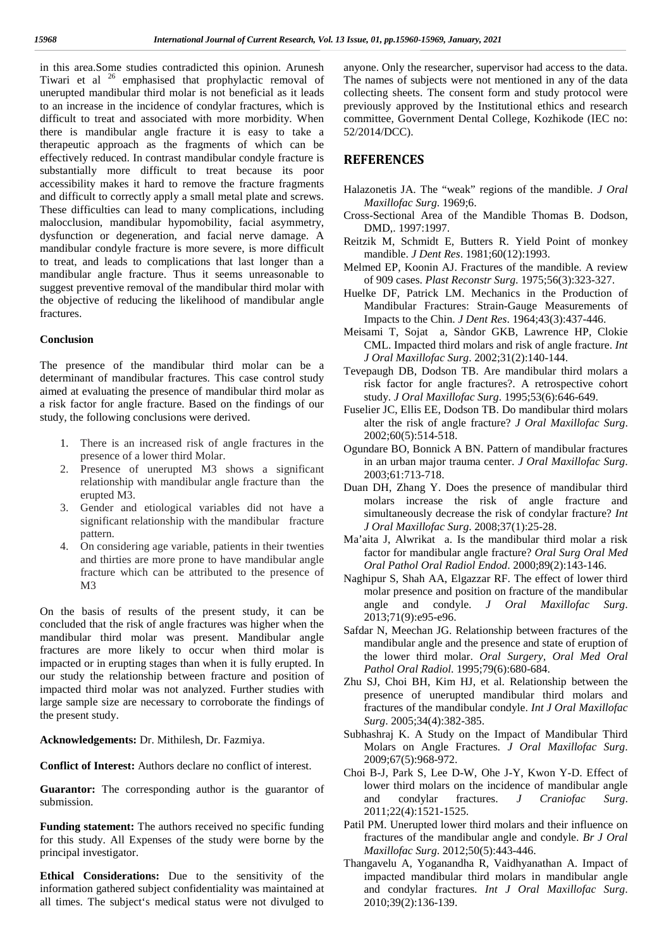in this area.Some studies contradicted this opinion. Arunesh Tiwari et al <sup>26</sup> emphasised that prophylactic removal of unerupted mandibular third molar is not beneficial as it leads to an increase in the incidence of condylar fractures, which is difficult to treat and associated with more morbidity. When there is mandibular angle fracture it is easy to take a therapeutic approach as the fragments of which can be effectively reduced. In contrast mandibular condyle fracture is substantially more difficult to treat because its poor accessibility makes it hard to remove the fracture fragments and difficult to correctly apply a small metal plate and screws. These difficulties can lead to many complications, including malocclusion, mandibular hypomobility, facial asymmetry, dysfunction or degeneration, and facial nerve damage. A mandibular condyle fracture is more severe, is more difficult to treat, and leads to complications that last longer than a mandibular angle fracture. Thus it seems unreasonable to suggest preventive removal of the mandibular third molar with the objective of reducing the likelihood of mandibular angle fractures.

#### **Conclusion**

The presence of the mandibular third molar can be a determinant of mandibular fractures. This case control study aimed at evaluating the presence of mandibular third molar as a risk factor for angle fracture. Based on the findings of our study, the following conclusions were derived.

- 1. There is an increased risk of angle fractures in the presence of a lower third Molar.
- 2. Presence of unerupted M3 shows a significant relationship with mandibular angle fracture than the erupted M3.
- 3. Gender and etiological variables did not have a significant relationship with the mandibular fracture pattern.
- 4. On considering age variable, patients in their twenties and thirties are more prone to have mandibular angle fracture which can be attributed to the presence of M3

On the basis of results of the present study, it can be concluded that the risk of angle fractures was higher when the mandibular third molar was present. Mandibular angle fractures are more likely to occur when third molar is impacted or in erupting stages than when it is fully erupted. In our study the relationship between fracture and position of impacted third molar was not analyzed. Further studies with large sample size are necessary to corroborate the findings of the present study.

**Acknowledgements:** Dr. Mithilesh, Dr. Fazmiya.

**Conflict of Interest:** Authors declare no conflict of interest.

**Guarantor:** The corresponding author is the guarantor of submission.

**Funding statement:** The authors received no specific funding for this study. All Expenses of the study were borne by the principal investigator.

**Ethical Considerations:** Due to the sensitivity of the information gathered subject confidentiality was maintained at all times. The subject's medical status were not divulged to

anyone. Only the researcher, supervisor had access to the data. The names of subjects were not mentioned in any of the data collecting sheets. The consent form and study protocol were previously approved by the Institutional ethics and research committee, Government Dental College, Kozhikode (IEC no: 52/2014/DCC).

## **REFERENCES**

- Halazonetis JA. The "weak" regions of the mandible. *J Oral Maxillofac Surg*. 1969;6.
- Cross-Sectional Area of the Mandible Thomas B. Dodson, DMD,. 1997:1997.
- Reitzik M, Schmidt E, Butters R. Yield Point of monkey mandible. *J Dent Res*. 1981;60(12):1993.
- Melmed EP, Koonin AJ. Fractures of the mandible. A review of 909 cases. *Plast Reconstr Surg*. 1975;56(3):323-327.
- Huelke DF, Patrick LM. Mechanics in the Production of Mandibular Fractures: Strain-Gauge Measurements of Impacts to the Chin. *J Dent Res*. 1964;43(3):437-446.
- Meisami T, Sojat a, Sàndor GKB, Lawrence HP, Clokie CML. Impacted third molars and risk of angle fracture. *Int J Oral Maxillofac Surg*. 2002;31(2):140-144.
- Tevepaugh DB, Dodson TB. Are mandibular third molars a risk factor for angle fractures?. A retrospective cohort study. *J Oral Maxillofac Surg*. 1995;53(6):646-649.
- Fuselier JC, Ellis EE, Dodson TB. Do mandibular third molars alter the risk of angle fracture? *J Oral Maxillofac Surg*. 2002;60(5):514-518.
- Ogundare BO, Bonnick A BN. Pattern of mandibular fractures in an urban major trauma center. *J Oral Maxillofac Surg*. 2003;61:713-718.
- Duan DH, Zhang Y. Does the presence of mandibular third molars increase the risk of angle fracture and simultaneously decrease the risk of condylar fracture? *Int J Oral Maxillofac Surg*. 2008;37(1):25-28.
- Ma'aita J, Alwrikat a. Is the mandibular third molar a risk factor for mandibular angle fracture? *Oral Surg Oral Med Oral Pathol Oral Radiol Endod*. 2000;89(2):143-146.
- Naghipur S, Shah AA, Elgazzar RF. The effect of lower third molar presence and position on fracture of the mandibular angle and condyle. *J Oral Maxillofac Surg*. 2013;71(9):e95-e96.
- Safdar N, Meechan JG. Relationship between fractures of the mandibular angle and the presence and state of eruption of the lower third molar. *Oral Surgery, Oral Med Oral Pathol Oral Radiol*. 1995;79(6):680-684.
- Zhu SJ, Choi BH, Kim HJ, et al. Relationship between the presence of unerupted mandibular third molars and fractures of the mandibular condyle. *Int J Oral Maxillofac Surg*. 2005;34(4):382-385.
- Subhashraj K. A Study on the Impact of Mandibular Third Molars on Angle Fractures. *J Oral Maxillofac Surg*. 2009;67(5):968-972.
- Choi B-J, Park S, Lee D-W, Ohe J-Y, Kwon Y-D. Effect of lower third molars on the incidence of mandibular angle and condylar fractures. *J Craniofac Surg*. 2011;22(4):1521-1525.
- Patil PM. Unerupted lower third molars and their influence on fractures of the mandibular angle and condyle. *Br J Oral Maxillofac Surg*. 2012;50(5):443-446.
- Thangavelu A, Yoganandha R, Vaidhyanathan A. Impact of impacted mandibular third molars in mandibular angle and condylar fractures. *Int J Oral Maxillofac Surg*. 2010;39(2):136-139.